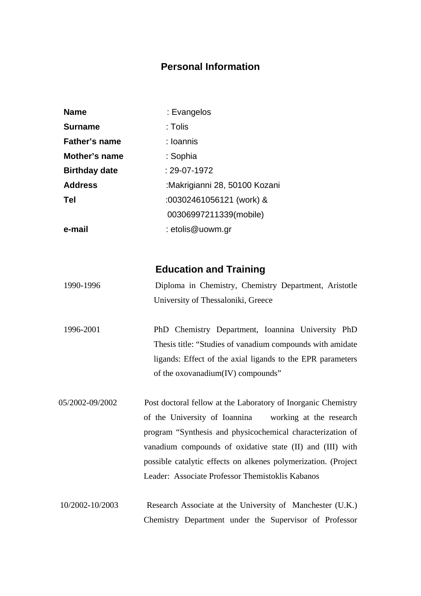### **Personal Information**

| <b>Name</b>          | : Evangelos                   |  |  |  |
|----------------------|-------------------------------|--|--|--|
| <b>Surname</b>       | : Tolis                       |  |  |  |
| <b>Father's name</b> | : Ioannis                     |  |  |  |
| Mother's name        | : Sophia                      |  |  |  |
| <b>Birthday date</b> | $: 29-07-1972$                |  |  |  |
| <b>Address</b>       | :Makrigianni 28, 50100 Kozani |  |  |  |
| <b>Tel</b>           | :00302461056121 (work) &      |  |  |  |
|                      | 00306997211339(mobile)        |  |  |  |
| e-mail               | : etolis@uowm.gr              |  |  |  |

### **Education and Training**

| 1990-1996 |                                    |  |  | Diploma in Chemistry, Chemistry Department, Aristotle |  |  |
|-----------|------------------------------------|--|--|-------------------------------------------------------|--|--|
|           | University of Thessaloniki, Greece |  |  |                                                       |  |  |

1996-2001 PhD Chemistry Department, Ioannina University PhD Thesis title: "Studies of vanadium compounds with amidate ligands: Effect of the axial ligands to the EPR parameters of the oxovanadium(IV) compounds"

05/2002-09/2002 Post doctoral fellow at the Laboratory of Inorganic Chemistry of the University of Ioannina working at the research program "Synthesis and physicochemical characterization of vanadium compounds of oxidative state (II) and (III) with possible catalytic effects on alkenes polymerization. (Project Leader: Associate Professor Themistoklis Kabanos

 10/2002-10/2003 Research Associate at the University of Manchester (U.K.) Chemistry Department under the Supervisor of Professor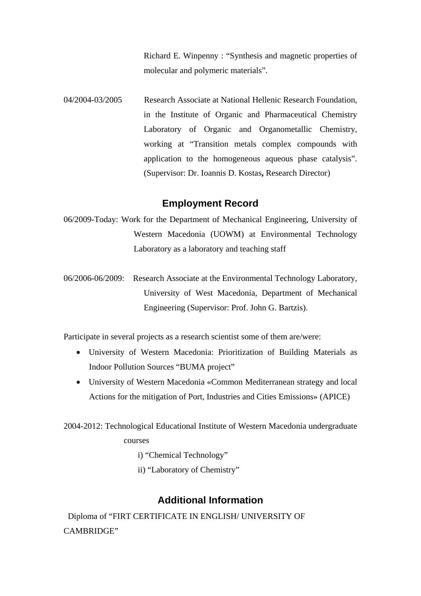Richard E. Winpenny : "Synthesis and magnetic properties of molecular and polymeric materials".

04/2004-03/2005 Research Associate at National Hellenic Research Foundation, in the Institute of Organic and Pharmaceutical Chemistry Laboratory of Organic and Organometallic Chemistry, working at "Transition metals complex compounds with application to the homogeneous aqueous phase catalysis". (Supervisor: [Dr. Ioannis D. Kostas](http://www.eie.gr/nhrf/institutes/iopc/cvs/cv-kostas-en.html)**,** Research Director)

### **Employment Record**

- 06/2009-Today: Work for the Department of Mechanical Engineering, University of Western Macedonia (UOWM) at Environmental Technology Laboratory as a laboratory and teaching staff
- 06/2006-06/2009: Research Associate at the Environmental Technology Laboratory, University of West Macedonia, Department of Mechanical Engineering (Supervisor: Prof. John G. Bartzis).

Participate in several projects as a research scientist some of them are/were:

- University of Western Macedonia: Prioritization of Building Materials as Indoor Pollution Sources "BUMA project"
- University of Western Macedonia «Common Mediterranean strategy and local Actions for the mitigation of Port, Industries and Cities Emissions» (APICE)

2004-2012: Technological Educational Institute of Western Macedonia undergraduate courses

- i) "Chemical Technology"
- ii) "Laboratory of Chemistry"

### **Additional Information**

 Diploma of "FIRT CERTIFICATE IN ENGLISH/ UNIVERSITY OF CAMBRIDGE"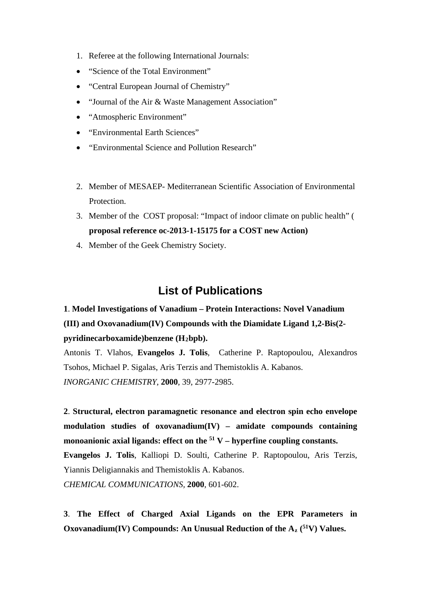- 1. Referee at the following International Journals:
- "Science of the Total Environment"
- "Central European Journal of Chemistry"
- "Journal of the Air & Waste Management Association"
- "Atmospheric Environment"
- "Environmental Earth Sciences"
- "Environmental Science and Pollution Research"
- 2. Member of MESAEP- Mediterranean Scientific Association of Environmental Protection.
- 3. Member of the COST proposal: "Impact of indoor climate on public health" ( **proposal reference oc-2013-1-15175 for a COST new Action)**
- 4. Member of the Geek Chemistry Society.

# **List of Publications**

# **1**. **Model Investigations of Vanadium – Protein Interactions: Novel Vanadium (III) and Oxovanadium(IV) Compounds with the Diamidate Ligand 1,2-Bis(2 pyridinecarboxamide)benzene (H2bpb).**

Antonis T. Vlahos, **Evangelos J. Tolis**, Catherine P. Raptopoulou, Alexandros Tsohos, Michael P. Sigalas, Aris Terzis and Themistoklis A. Kabanos. *INORGANIC CHEMISTRY*, **2000**, 39, 2977-2985.

**2**. **Structural, electron paramagnetic resonance and electron spin echo envelope modulation studies of oxovanadium(IV) – amidate compounds containing monoanionic axial ligands: effect on the 51 V – hyperfine coupling constants. Evangelos J. Tolis**, Kalliopi D. Soulti, Catherine P. Raptopoulou, Aris Terzis, Yiannis Deligiannakis and Themistoklis A. Kabanos. *CHEMICAL COMMUNICATIONS,* **2000**, 601-602.

**3**. **The Effect of Charged Axial Ligands on the EPR Parameters in Oxovanadium(IV) Compounds: An Unusual Reduction of the Az ( 51V) Values.**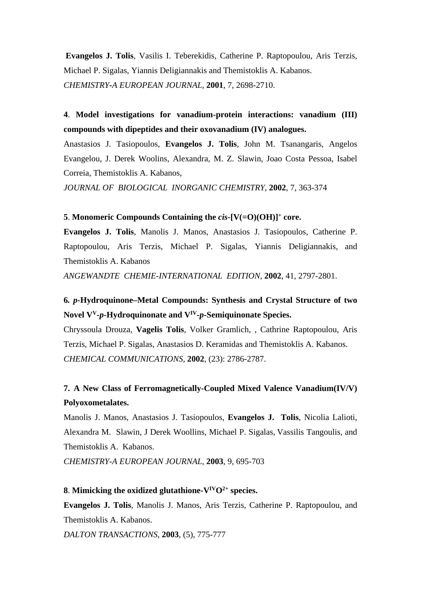**Evangelos J. Tolis**, Vasilis I. Teberekidis, Catherine P. Raptopoulou, Aris Terzis, Michael P. Sigalas, Yiannis Deligiannakis and Themistoklis A. Kabanos. *CHEMISTRY-A EUROPEAN JOURNAL,* **2001**, 7, 2698-2710.

**4**. **Model investigations for vanadium-protein interactions: vanadium (III) compounds with dipeptides and their oxovanadium (IV) analogues.**

Anastasios J. Tasiopoulos, **Evangelos J. Tolis**, John M. Tsanangaris, Angelos Evangelou, J. Derek Woolins, Alexandra, M. Z. Slawin, Joao Costa Pessoa, Isabel Correia, Themistoklis A. Kabanos,

*JOURNAL OF BIOLOGICAL INORGANIC CHEMISTRY,* **2002**, 7, 363-374

#### **5**. **Monomeric Compounds Containing the** *cis***-[V(=O)(OH)]+ core.**

**Evangelos J. Tolis**, Manolis J. Manos, Anastasios J. Tasiopoulos, Catherine P. Raptopoulou, Aris Terzis, Michael P. Sigalas, Yiannis Deligiannakis, and Themistoklis A. Kabanos

*ANGEWANDTE CHEMIE-INTERNATIONAL EDITION,* **2002**, 41, 2797-2801.

## **6***. p***-Hydroquinone–Metal Compounds: Synthesis and Crystal Structure of two Novel VV-***p***-Hydroquinonate and VIV-***p***-Semiquinonate Species.**

Chryssoula Drouza, **Vagelis Tolis**, Volker Gramlich, , Cathrine Raptopoulou, Aris Terzis, Michael P. Sigalas, Anastasios D. Keramidas and Themistoklis A. Kabanos. *CHEMICAL COMMUNICATIONS,* **2002**, (23): 2786-2787.

### **7. A New Class of Ferromagnetically-Coupled Mixed Valence Vanadium(IV/V) Polyoxometalates.**

Manolis J. Manos, Anastasios J. Tasiopoulos, **Evangelos J. Tolis**, Nicolia Lalioti, Alexandra M. Slawin, J Derek Woollins, Michael P. Sigalas, Vassilis Tangoulis, and Themistoklis A. Kabanos.

*CHEMISTRY-A EUROPEAN JOURNAL,* **2003**, 9, 695-703

#### **8**. **Mimicking the oxidized glutathione-** $V^{IV}O^{2+}$  **species.**

**Evangelos J. Tolis**, Manolis J. Manos, Aris Terzis, Catherine P. Raptopoulou, and Themistoklis A. Kabanos.

*DALTON TRANSACTIONS,* **2003**, (5), 775-777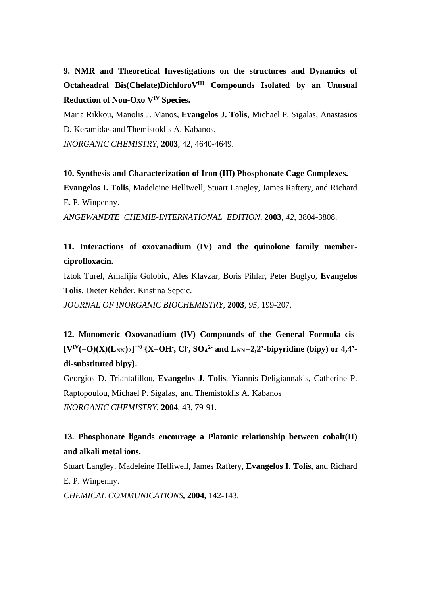**9. NMR and Theoretical Investigations on the structures and Dynamics of Octaheadral Bis(Chelate)DichloroVIII Compounds Isolated by an Unusual Reduction of Non-Oxo VIV Species.**

Maria Rikkou, Manolis J. Manos, **Evangelos J. Tolis**, Michael P. Sigalas, Anastasios D. Keramidas and Themistoklis A. Kabanos.

*INORGANIC CHEMISTRY*, **2003**, 42, 4640-4649.

**10. Synthesis and Characterization of Iron (III) Phosphonate Cage Complexes. Evangelos I. Tolis**, Madeleine Helliwell, Stuart Langley, James Raftery, and Richard E. P. Winpenny.

*ANGEWANDTE CHEMIE-INTERNATIONAL EDITION,* **2003**, *42*, 3804-3808.

### **11. Interactions of oxovanadium (IV) and the quinolone family memberciprofloxacin.**

Iztok Turel, Amalijia Golobic, Ales Klavzar, Boris Pihlar, Peter Buglyo, **Evangelos Tolis**, Dieter Rehder, Kristina Sepcic.

*JOURNAL OF INORGANIC BIOCHEMISTRY*, **2003**, *95*, 199-207.

**12. Monomeric Oxovanadium (IV) Compounds of the General Formula cis-**  $[V^{IV}(=O)(X)(L_{NN})_2]^{+/0}$  {X=OH<sup>-</sup>, Cl<sup>-</sup>, SO<sub>4</sub><sup>2-</sup> and L<sub>NN</sub>=2,2'-bipyridine (bipy) or 4,4'**di-substituted bipy}.**

Georgios D. Triantafillou, **Evangelos J. Tolis**, Yiannis Deligiannakis, Catherine P. Raptopoulou, Michael P. Sigalas, and Themistoklis A. Kabanos *INORGANIC CHEMISTRY*, **2004**, 43, 79-91.

### **13. Phosphonate ligands encourage a Platonic relationship between cobalt(II) and alkali metal ions.**

Stuart Langley, Madeleine Helliwell, James Raftery, **Evangelos I. Tolis**, and Richard E. P. Winpenny.

*CHEMICAL COMMUNICATIONS,* **2004,** 142-143.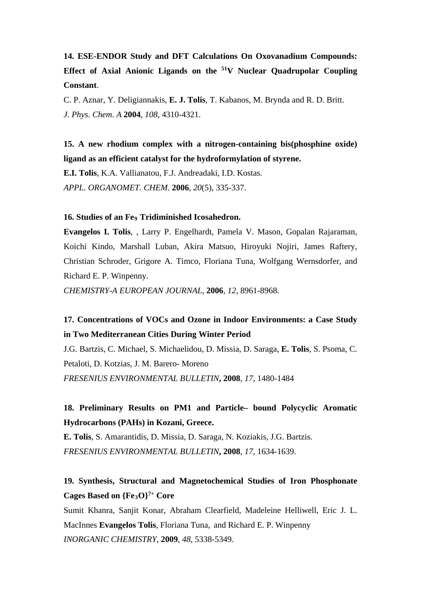# **14. ESE-ENDOR Study and DFT Calculations On Oxovanadium Compounds: Effect of Axial Anionic Ligands on the 51V Nuclear Quadrupolar Coupling Constant**.

C. P. Aznar, Y. Deligiannakis, **E. J. Tolis**, T. Kabanos, M. Brynda and R. D. Britt. *J*. *Phys*. *Chem*. *A* **2004**, *108*, 4310-4321.

**15. A new rhodium complex with a nitrogen-containing bis(phosphine oxide) ligand as an efficient catalyst for the hydroformylation of styrene.**

**E.I. Tolis**, K.A. Vallianatou, F.J. Andreadaki, I.D. Kostas. *APPL. ORGANOMET. CHEM.* **2006**, *20*(5), 335-337.

#### **16. Studies of an Fe9 Tridiminished Icosahedron.**

**Evangelos I. Tolis**, , Larry P. Engelhardt, Pamela V. Mason, Gopalan Rajaraman, Koichi Kindo, Marshall Luban, Akira Matsuo, Hiroyuki Nojiri, James Raftery, Christian Schroder, Grigore A. Timco, Floriana Tuna, Wolfgang Wernsdorfer, and Richard E. P. Winpenny.

*CHEMISTRY-A EUROPEAN JOURNAL,* **2006**, *12*, 8961-8968.

## **17. Concentrations of VOCs and Ozone in Indoor Environments: a Case Study in Two Mediterranean Cities During Winter Period**

J.G. Bartzis, C. Michael, S. Michaelidou, D. Missia, D. Saraga, **E. Tolis**, S. Psoma, C. Petaloti, D. Kotzias, J. M. Barero- Moreno *FRESENIUS ENVIRONMENTAL BULLETIN***, 2008**, *17*, 1480-1484

## **18. Preliminary Results on PM1 and Particle– bound Polycyclic Aromatic Hydrocarbons (PAHs) in Kozani, Greece.**

**E. Tolis**, S. Amarantidis, D. Missia, D. Saraga, N. Koziakis, J.G. Bartzis. *FRESENIUS ENVIRONMENTAL BULLETIN***, 2008**, *17*, 1634-1639.

### **19. Synthesis, Structural and Magnetochemical Studies of Iron Phosphonate Cages Based on {Fe3O}7+ Core**

Sumit Khanra, Sanjit Konar, Abraham Clearfield, Madeleine Helliwell, Eric J. L. MacInnes **Evangelos Tolis**, Floriana Tuna, and Richard E. P. Winpenny *INORGANIC CHEMISTRY*, **2009**, *48*, 5338-5349.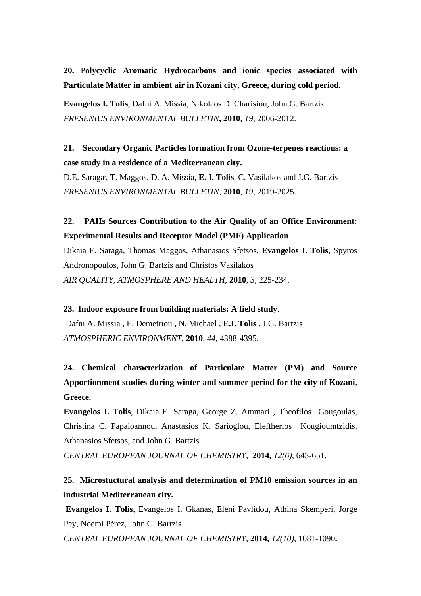**20.** P**olycyclic Aromatic Hydrocarbons and ionic species associated with Particulate Matter in ambient air in Kozani city, Greece, during cold period.**

**Evangelos I. Tolis**, Dafni A. Missia, Nikolaos D. Charisiou, John G. Bartzis *FRESENIUS ENVIRONMENTAL BULLETIN***, 2010**, *19*, 2006-2012.

**21. Secondary Organic Particles formation from Ozone-terpenes reactions: a case study in a residence of a Mediterranean city.**

D.E. Saraga, , T. Maggos, D. A. Missia, **E. I. Tolis**, C. Vasilakos and J.G. Bartzis *FRESENIUS ENVIRONMENTAL BULLETIN,* **2010**, *19*, 2019-2025.

**22. PAHs Sources Contribution to the Air Quality of an Office Environment: Experimental Results and Receptor Model (PMF) Application**

Dikaia E. Saraga, Thomas Maggos, Athanasios Sfetsos, **Evangelos I. Tolis**, Spyros Andronopoulos, John G. Bartzis and Christos Vasilakos *AIR QUALITY, ATMOSPHERE AND HEALTH,* **2010**, *3,* 225-234.

**23. Indoor exposure from building materials: A field study**. Dafni A. Missia , E. Demetriou , N. Michael , **E.I. Tolis** , J.G. Bartzis *ATMOSPHERIC ENVIRONMENT*, **2010**, *44*, 4388-4395.

**24. Chemical characterization of Particulate Matter (PM) and Source Apportionment studies during winter and summer period for the city of Kozani, Greece.**

**Evangelos I. Tolis**, Dikaia E. Saraga, George Z. Ammari , Theofilos Gougoulas, Christina C. Papaioannou, Anastasios K. Sarioglou, Eleftherios Kougioumtzidis, Athanasios Sfetsos, and John G. Bartzis

*CENTRAL EUROPEAN JOURNAL OF CHEMISTRY,* **2014,** *12(6)*, 643-651.

**25. Microstuctural analysis and determination of PM10 emission sources in an industrial Mediterranean city.**

**Evangelos I. Tolis**, Evangelos I. Gkanas, Eleni Pavlidou, Athina Skemperi, Jorge Pey, Noemi Pérez, John G. Bartzis *CENTRAL EUROPEAN JOURNAL OF CHEMISTRY,* **2014,** *12(10)*, 1081-1090**.**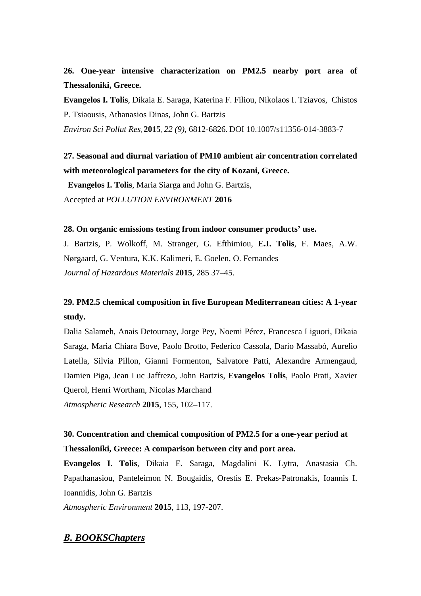### **26. One-year intensive characterization on PM2.5 nearby port area of Thessaloniki, Greece.**

**Evangelos I. Tolis**, Dikaia E. Saraga, Katerina F. Filiou, Nikolaos I. Tziavos, Chistos P. Tsiaousis, Athanasios Dinas, John G. Bartzis

*Environ Sci Pollut Res*, **2015**, *22 (9)*, 6812-6826. DOI 10.1007/s11356-014-3883-7

## **27. Seasonal and diurnal variation of PM10 ambient air concentration correlated with meteorological parameters for the city of Kozani, Greece.**

 **Evangelos I. Tolis**, Maria Siarga and John G. Bartzis, Accepted at *POLLUTION ENVIRONMENT* **2016**

#### **28. On organic emissions testing from indoor consumer products' use.**

J. Bartzis, P. Wolkoff, M. Stranger, G. Efthimiou, **E.I. Tolis**, F. Maes, A.W. Nørgaard, G. Ventura, K.K. Kalimeri, E. Goelen, O. Fernandes *Journal of Hazardous Materials* **2015**, 285 37–45.

### **29. PM2.5 chemical composition in five European Mediterranean cities: A 1-year study.**

Dalia Salameh, Anais Detournay, Jorge Pey, Noemi Pérez, Francesca Liguori, Dikaia Saraga, Maria Chiara Bove, Paolo Brotto, Federico Cassola, Dario Massabò, Aurelio Latella, Silvia Pillon, Gianni Formenton, Salvatore Patti, Alexandre Armengaud, Damien Piga, Jean Luc Jaffrezo, John Bartzis, **Evangelos Tolis**, Paolo Prati, Xavier Querol, Henri Wortham, Nicolas Marchand *Atmospheric Research* **2015**, 155, 102–117.

## **30. Concentration and chemical composition of PM2.5 for a one-year period at Thessaloniki, Greece: A comparison between city and port area.**

**Evangelos I. Tolis**, Dikaia E. Saraga, Magdalini K. Lytra, Anastasia Ch. Papathanasiou, Panteleimon N. Bougaidis, Orestis E. Prekas-Patronakis, Ioannis I. Ioannidis, John G. Bartzis

*Atmospheric Environment* **2015**, 113, 197-207.

### *Β. BOOKSChapters*